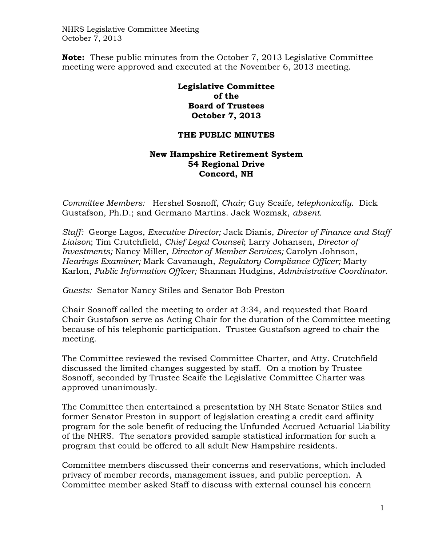NHRS Legislative Committee Meeting October 7, 2013

**Note:** These public minutes from the October 7, 2013 Legislative Committee meeting were approved and executed at the November 6, 2013 meeting.

> **Legislative Committee of the Board of Trustees October 7, 2013**

## **THE PUBLIC MINUTES**

## **New Hampshire Retirement System 54 Regional Drive Concord, NH**

*Committee Members:* Hershel Sosnoff, *Chair;* Guy Scaife*, telephonically.* Dick Gustafson, Ph.D.; and Germano Martins. Jack Wozmak, *absent.* 

*Staff:* George Lagos, *Executive Director;* Jack Dianis, *Director of Finance and Staff Liaison*; Tim Crutchfield, *Chief Legal Counsel*; Larry Johansen, *Director of Investments;* Nancy Miller, *Director of Member Services;* Carolyn Johnson, *Hearings Examiner;* Mark Cavanaugh, *Regulatory Compliance Officer;* Marty Karlon, *Public Information Officer;* Shannan Hudgins, *Administrative Coordinator*.

*Guests:* Senator Nancy Stiles and Senator Bob Preston

Chair Sosnoff called the meeting to order at 3:34, and requested that Board Chair Gustafson serve as Acting Chair for the duration of the Committee meeting because of his telephonic participation. Trustee Gustafson agreed to chair the meeting.

The Committee reviewed the revised Committee Charter, and Atty. Crutchfield discussed the limited changes suggested by staff. On a motion by Trustee Sosnoff, seconded by Trustee Scaife the Legislative Committee Charter was approved unanimously.

The Committee then entertained a presentation by NH State Senator Stiles and former Senator Preston in support of legislation creating a credit card affinity program for the sole benefit of reducing the Unfunded Accrued Actuarial Liability of the NHRS. The senators provided sample statistical information for such a program that could be offered to all adult New Hampshire residents.

Committee members discussed their concerns and reservations, which included privacy of member records, management issues, and public perception. A Committee member asked Staff to discuss with external counsel his concern